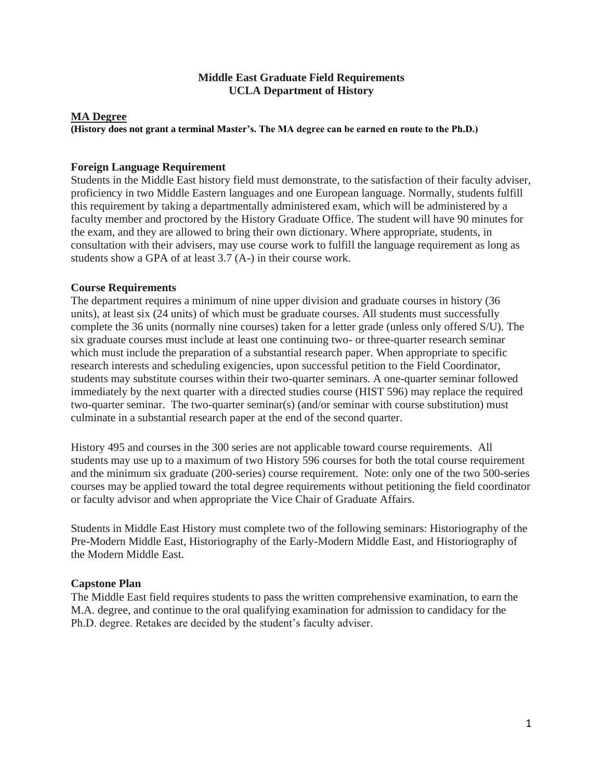## **Middle East Graduate Field Requirements UCLA Department of History**

#### **MA Degree**

**(History does not grant a terminal Master's. The MA degree can be earned en route to the Ph.D.)**

#### **Foreign Language Requirement**

Students in the Middle East history field must demonstrate, to the satisfaction of their faculty adviser, proficiency in two Middle Eastern languages and one European language. Normally, students fulfill this requirement by taking a departmentally administered exam, which will be administered by a faculty member and proctored by the History Graduate Office. The student will have 90 minutes for the exam, and they are allowed to bring their own dictionary. Where appropriate, students, in consultation with their advisers, may use course work to fulfill the language requirement as long as students show a GPA of at least 3.7 (A-) in their course work.

## **Course Requirements**

The department requires a minimum of nine upper division and graduate courses in history (36 units), at least six (24 units) of which must be graduate courses. All students must successfully complete the 36 units (normally nine courses) taken for a letter grade (unless only offered S/U). The six graduate courses must include at least one continuing two- or three-quarter research seminar which must include the preparation of a substantial research paper. When appropriate to specific research interests and scheduling exigencies, upon successful petition to the Field Coordinator, students may substitute courses within their two-quarter seminars. A one-quarter seminar followed immediately by the next quarter with a directed studies course (HIST 596) may replace the required two-quarter seminar. The two-quarter seminar(s) (and/or seminar with course substitution) must culminate in a substantial research paper at the end of the second quarter.

History 495 and courses in the 300 series are not applicable toward course requirements. All students may use up to a maximum of two History 596 courses for both the total course requirement and the minimum six graduate (200-series) course requirement. Note: only one of the two 500-series courses may be applied toward the total degree requirements without petitioning the field coordinator or faculty advisor and when appropriate the Vice Chair of Graduate Affairs.

Students in Middle East History must complete two of the following seminars: Historiography of the Pre-Modern Middle East, Historiography of the Early-Modern Middle East, and Historiography of the Modern Middle East.

# **Capstone Plan**

The Middle East field requires students to pass the written comprehensive examination, to earn the M.A. degree, and continue to the oral qualifying examination for admission to candidacy for the Ph.D. degree. Retakes are decided by the student's faculty adviser.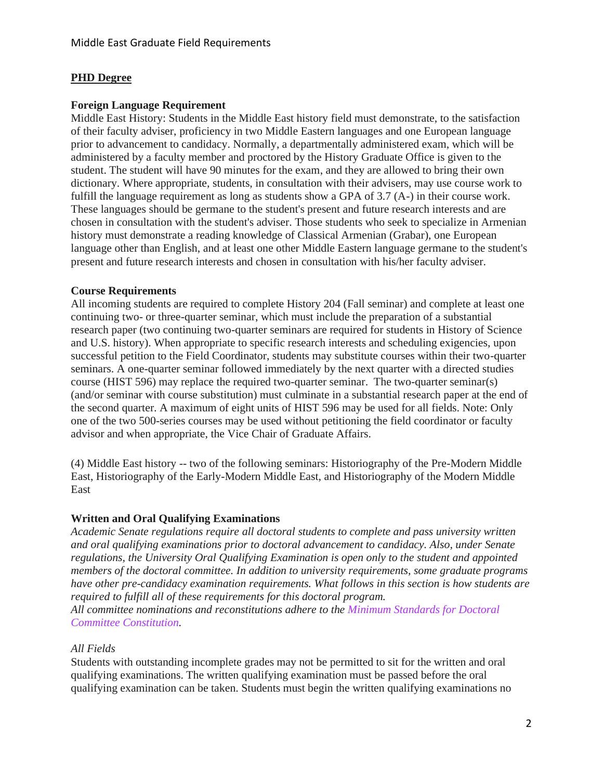# **PHD Degree**

## **Foreign Language Requirement**

Middle East History: Students in the Middle East history field must demonstrate, to the satisfaction of their faculty adviser, proficiency in two Middle Eastern languages and one European language prior to advancement to candidacy. Normally, a departmentally administered exam, which will be administered by a faculty member and proctored by the History Graduate Office is given to the student. The student will have 90 minutes for the exam, and they are allowed to bring their own dictionary. Where appropriate, students, in consultation with their advisers, may use course work to fulfill the language requirement as long as students show a GPA of 3.7 (A-) in their course work. These languages should be germane to the student's present and future research interests and are chosen in consultation with the student's adviser. Those students who seek to specialize in Armenian history must demonstrate a reading knowledge of Classical Armenian (Grabar), one European language other than English, and at least one other Middle Eastern language germane to the student's present and future research interests and chosen in consultation with his/her faculty adviser.

## **Course Requirements**

All incoming students are required to complete History 204 (Fall seminar) and complete at least one continuing two- or three-quarter seminar, which must include the preparation of a substantial research paper (two continuing two-quarter seminars are required for students in History of Science and U.S. history). When appropriate to specific research interests and scheduling exigencies, upon successful petition to the Field Coordinator, students may substitute courses within their two-quarter seminars. A one-quarter seminar followed immediately by the next quarter with a directed studies course (HIST 596) may replace the required two-quarter seminar. The two-quarter seminar(s) (and/or seminar with course substitution) must culminate in a substantial research paper at the end of the second quarter. A maximum of eight units of HIST 596 may be used for all fields. Note: Only one of the two 500-series courses may be used without petitioning the field coordinator or faculty advisor and when appropriate, the Vice Chair of Graduate Affairs.

(4) Middle East history -- two of the following seminars: Historiography of the Pre-Modern Middle East, Historiography of the Early-Modern Middle East, and Historiography of the Modern Middle East

# **Written and Oral Qualifying Examinations**

*Academic Senate regulations require all doctoral students to complete and pass university written and oral qualifying examinations prior to doctoral advancement to candidacy. Also, under Senate regulations, the University Oral Qualifying Examination is open only to the student and appointed members of the doctoral committee. In addition to university requirements, some graduate programs have other pre-candidacy examination requirements. What follows in this section is how students are required to fulfill all of these requirements for this doctoral program.*

*All committee nominations and reconstitutions adhere to the Minimum [Standards](https://grad.ucla.edu/academics/doctoral-studies/minimum-standards-for-doctoral-committee-constitution-effective-2016-fall/) for Doctoral Committee [Constitution.](https://grad.ucla.edu/academics/doctoral-studies/minimum-standards-for-doctoral-committee-constitution-effective-2016-fall/)*

#### *All Fields*

Students with outstanding incomplete grades may not be permitted to sit for the written and oral qualifying examinations. The written qualifying examination must be passed before the oral qualifying examination can be taken. Students must begin the written qualifying examinations no